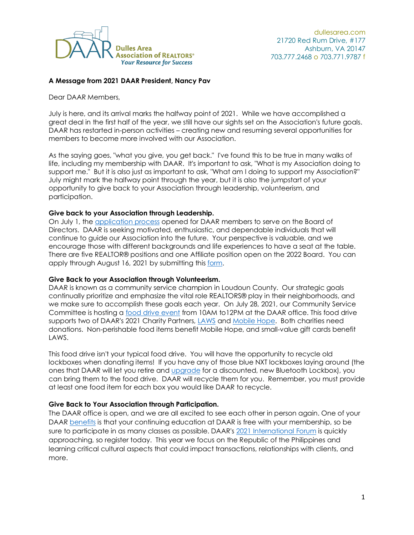

## **A Message from 2021 DAAR President, Nancy Pav**

Dear DAAR Members,

July is here, and its arrival marks the halfway point of 2021. While we have accomplished a great deal in the first half of the year, we still have our sights set on the Association's future goals. DAAR has restarted in-person activities – creating new and resuming several opportunities for members to become more involved with our Association.

As the saying goes, "what you give, you get back." I've found this to be true in many walks of life, including my membership with DAAR. It's important to ask, "What is my Association doing to support me." But it is also just as important to ask, "What am I doing to support my Association?" July might mark the halfway point through the year, but it is also the jumpstart of your opportunity to give back to your Association through leadership, volunteerism, and participation.

## **Give back to your Association through Leadership.**

On July 1, the [application process](https://dullesarea.com/2021/06/30/2022-board-of-directors-accepting-applications/) opened for DAAR members to serve on the Board of Directors. DAAR is seeking motivated, enthusiastic, and dependable individuals that will continue to guide our Association into the future. Your perspective is valuable, and we encourage those with different backgrounds and life experiences to have a seat at the table. There are five REALTOR® positions and one Affiliate position open on the 2022 Board. You can apply through August 16, 2021 by submitting this [form.](https://dullesarea.wufoo.com/forms/z13bl20h16w0pmn/)

## **Give Back to your Association through Volunteerism.**

DAAR is known as a community service champion in Loudoun County. Our strategic goals continually prioritize and emphasize the vital role REALTORS® play in their neighborhoods, and we make sure to accomplish these goals each year. On July 28, 2021, our Community Service Committee is hosting a [food drive event](https://dullesarea.com/2021/06/23/1-stop-donate-drop/) from 10AM to12PM at the DAAR office. This food drive supports two of DAAR's 2021 Charity Partners, [LAWS](https://www.lcsj.org/) and [Mobile Hope.](https://mobile-hope.org/) Both charities need donations. Non-perishable food items benefit Mobile Hope, and small-value gift cards benefit LAWS.

This food drive isn't your typical food drive. You will have the opportunity to recycle old lockboxes when donating items! If you have any of those blue NXT lockboxes laying around (the ones that DAAR will let you retire and [upgrade](https://dullesarea.com/membership/2021-sentrilock-lockbox-discount-promo/) for a discounted, new Bluetooth Lockbox), you can bring them to the food drive. DAAR will recycle them for you. Remember, you must provide at least one food item for each box you would like DAAR to recycle.

## **Give Back to Your Association through Participation.**

The DAAR office is open, and we are all excited to see each other in person again. One of your DAAR [benefits](https://dullesarea.com/daar_realtor_benefits/) is that your continuing education at DAAR is free with your membership, so be sure to participate in as many classes as possible. DAAR's [2021 International Forum](https://dullesarea.com/2021/05/04/2021-international-forum-republic-of-the-philippines/) is quickly approaching, so register today. This year we focus on the Republic of the Philippines and learning critical cultural aspects that could impact transactions, relationships with clients, and more.